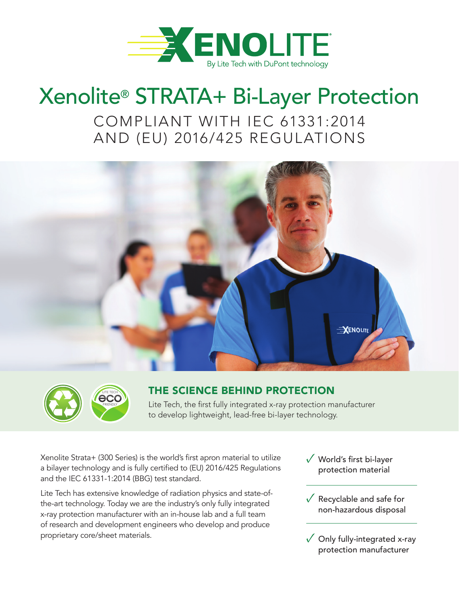

# Xenolite® STRATA+ Bi-Layer Protection

COMPLIANT WITH IEC 61331:2014 AND (EU) 2016/425 REGULATIONS





## THE SCIENCE BEHIND PROTECTION

Lite Tech, the first fully integrated x-ray protection manufacturer to develop lightweight, lead-free bi-layer technology.

Xenolite Strata+ (300 Series) is the world's first apron material to utilize a bilayer technology and is fully certified to (EU) 2016/425 Regulations and the IEC 61331-1:2014 (BBG) test standard.

Lite Tech has extensive knowledge of radiation physics and state-ofthe-art technology. Today we are the industry's only fully integrated x-ray protection manufacturer with an in-house lab and a full team of research and development engineers who develop and produce proprietary core/sheet materials.

- ✓ World's first bi-layer protection material
- $\sqrt{\ }$  Recyclable and safe for non-hazardous disposal
- $\sqrt{\phantom{a}}$  Only fully-integrated x-ray protection manufacturer